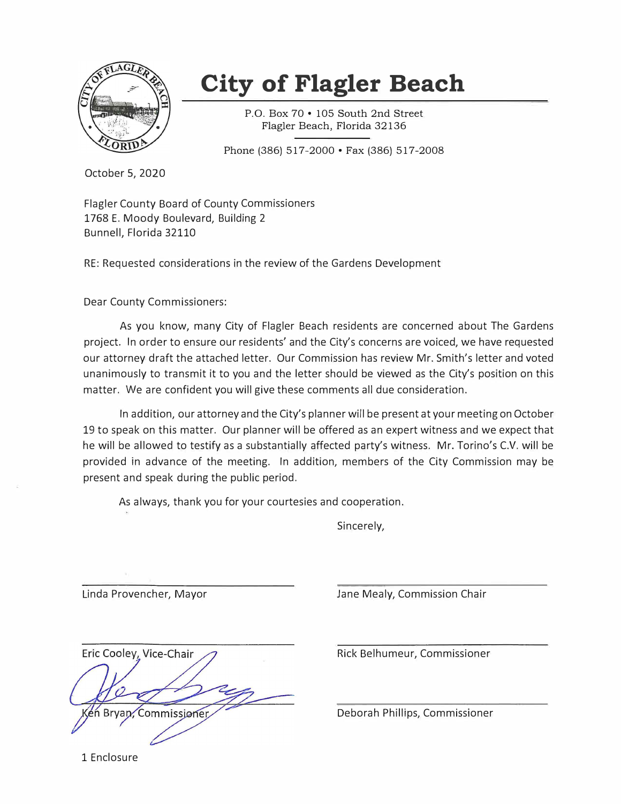

# **City of Flagler Beach**

P.O. Box 70 • 105 South 2nd Street Flagler Beach, Florida 32136

Phone (386) 517-2000 • Fax (386) 517-2008

October 5, 2020

Flagler County Board of County Commissioners 1768 E. Moody Boulevard, Building 2 Bunnell, Florida 32110

RE: Requested considerations in the review of the Gardens Development

Dear County Commissioners:

As you know, many City of Flagler Beach residents are concerned about The Gardens project. In order to ensure our residents' and the City's concerns are voiced, we have requested our attorney draft the attached letter. Our Commission has review Mr. Smith's letter and voted unanimously to transmit it to you and the letter should be viewed as the City's position on this matter. We are confident you will give these comments all due consideration.

In addition, our attorney and the City's planner will be present at your meeting on October 19 to speak on this matter. Our planner will be offered as an expert witness and we expect that he will be allowed to testify as a substantially affected party's witness. Mr. Torino's C.V. will be provided in advance of the meeting. In addition, members of the City Commission may be present and speak during the public period.

As always, thank you for your courtesies and cooperation.

Sincerely,

Eric Cooley, Vice-Chair Bryan, Commissioner

Linda Provencher, Mayor Jane Mealy, Commission Chair

Rick Belhumeur, Commissioner

Deborah Phillips, Commissioner

1 Enclosure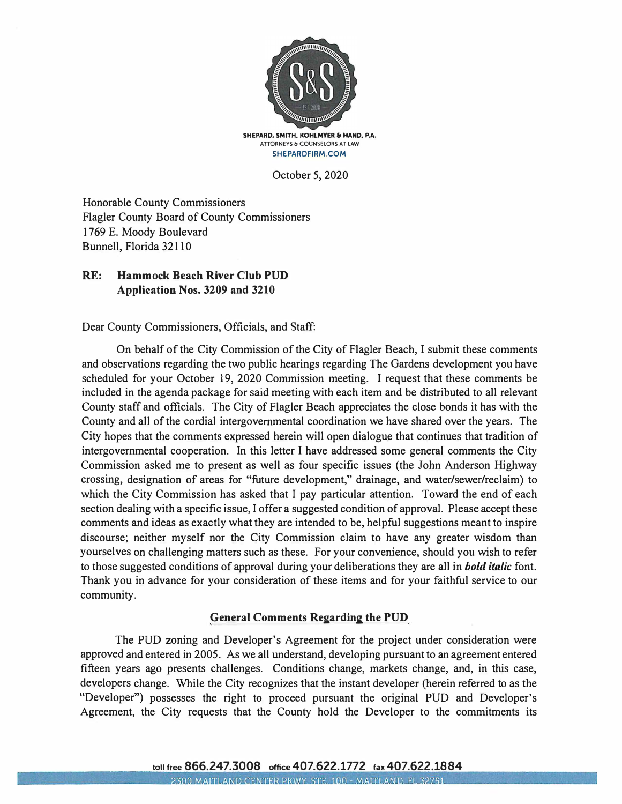

**SHEPARD, SMITH, KOHLMYER & HAND, P.A. ATTORNEYS & COUNSELORS AT LAW SHEPARDFIRM.COM** 

October 5, 2020

Honorable County Commissioners Flagler County Board of County Commissioners 1769 E. Moody Boulevard Bunnell, Florida 32110

## **RE: Hammock Beach River Club PUD Application Nos. 3209 and 3210**

Dear County Commissioners, Officials, and Staff:

On behalf of the City Commission of the City of Flagler Beach, I submit these comments and observations regarding the two public hearings regarding The Gardens development you have scheduled for your October 19, 2020 Commission meeting. I request that these comments be included in the agenda package for said meeting with each item and be distributed to all relevant County staff and officials. The City of Flagler Beach appreciates the close bonds it has with the County and all of the cordial intergovernmental coordination we have shared over the years. The City hopes that the comments expressed herein will open dialogue that continues that tradition of intergovernmental cooperation. In this letter I have addressed some general comments the City Commission asked me to present as well as four specific issues (the John Anderson Highway crossing, designation of areas for "future development," drainage, and water/sewer/reclaim) to which the City Commission has asked that I pay particular attention. Toward the end of each section dealing with a specific issue, I offer a suggested condition of approval. Please accept these comments and ideas as exactly what they are intended to be, helpful suggestions meant to inspire discourse; neither myself nor the City Commission claim to have any greater wisdom than yourselves on challenging matters such as these. For your convenience, should you wish to refer to those suggested conditions of approval during your deliberations they are all in *bold italic* font. Thank you in advance for your consideration of these items and for your faithful service to our community.

## **General Comments Regarding the PUD**

The PUD zoning and Developer's Agreement for the project under consideration were approved and entered in 2005. As we all understand, developing pursuant to an agreement entered fifteen years ago presents challenges. Conditions change, markets change, and, in this case, developers change. While the City recognizes that the instant developer (herein referred to as the "Developer") possesses the right to proceed pursuant the original PUD and Developer's Agreement, the City requests that the County hold the Developer to the commitments its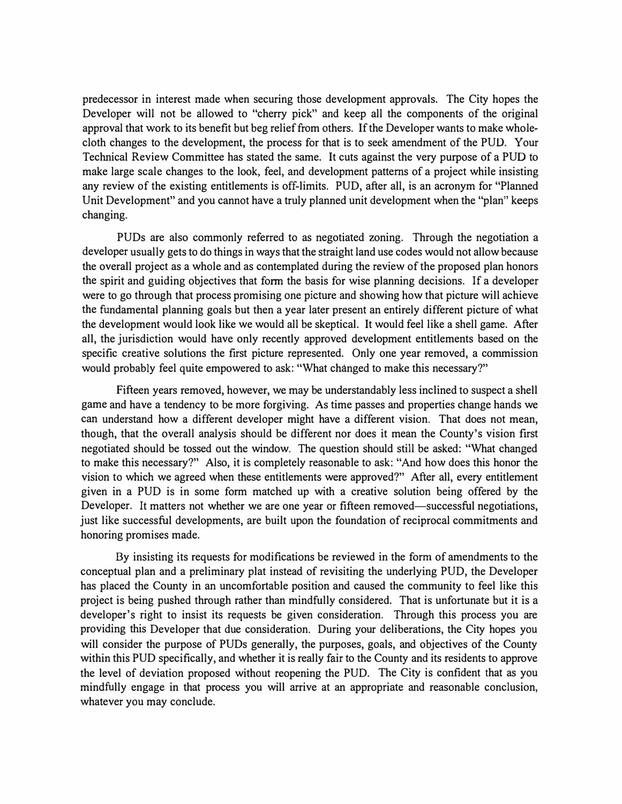predecessor in interest made when securing those development approvals. The City hopes the Developer will not be allowed to "cherry pick" and keep all the components of the original approval that work to its benefit but beg relief from others. If the Developer wants to make wholecloth changes to the development, the process for that is to seek amendment of the PUD. Your Technical Review Committee has stated the same. It cuts against the very purpose of a PUD to make large scale changes to the look, feel, and development patterns of a project while insisting any review of the existing entitlements is off-limits. PUD, after all, is an acronym for "Planned Unit Development" and you cannot have a truly planned unit development when the "plan" keeps changing.

PUDs are also commonly referred to as negotiated zoning. Through the negotiation a developer usually gets to do things in ways that the straight land use codes would not allow because the overall project as a whole and as contemplated during the review of the proposed plan honors the spirit and guiding objectives that form the basis for wise planning decisions. If a developer were to go through that process promising one picture and showing how that picture will achieve the fundamental planning goals but then a year later present an entirely different picture of what the development would look like we would all be skeptical. It would feel like a shell game. After all, the jurisdiction would have only recently approved development entitlements based on the specific creative solutions the first picture represented. Only one year removed, a commission would probably feel quite empowered to ask: "What changed to make this necessary?"

Fifteen years removed, however, we may be understandably less inclined to suspect a shell game and have a tendency to be more forgiving. As time passes and properties change hands we can understand how a different developer might have a different vision. That does not mean, though, that the overall analysis should be different nor does it mean the County's vision first negotiated should be tossed out the window. The question should still be asked: "What changed to make this necessary?" Also, it is completely reasonable to ask: "And how does this honor the vision to which we agreed when these entitlements were approved?" After all, every entitlement given in a PUD is in some form matched up with a creative solution being offered by the Developer. It matters not whether we are one year or fifteen removed—successful negotiations, just like successful developments, are built upon the foundation of reciprocal commitments and honoring promises made.

By insisting its requests for modifications be reviewed in the form of amendments to the conceptual plan and a preliminary plat instead of revisiting the underlying PUD, the Developer has placed the County in an uncomfortable position and caused the community to feel like this project is being pushed through rather than mindfully considered. That is unfortunate but it is a developer's right to insist its requests be given consideration. Through this process you are providing this Developer that due consideration. During your deliberations, the City hopes you will consider the purpose of PUDs generally, the purposes, goals, and objectives of the County within this PUD specifically, and whether it is really fair to the County and its residents to approve the level of deviation proposed without reopening the PUD. The City is confident that as you mindfully engage in that process you will arrive at an appropriate and reasonable conclusion, whatever you may conclude.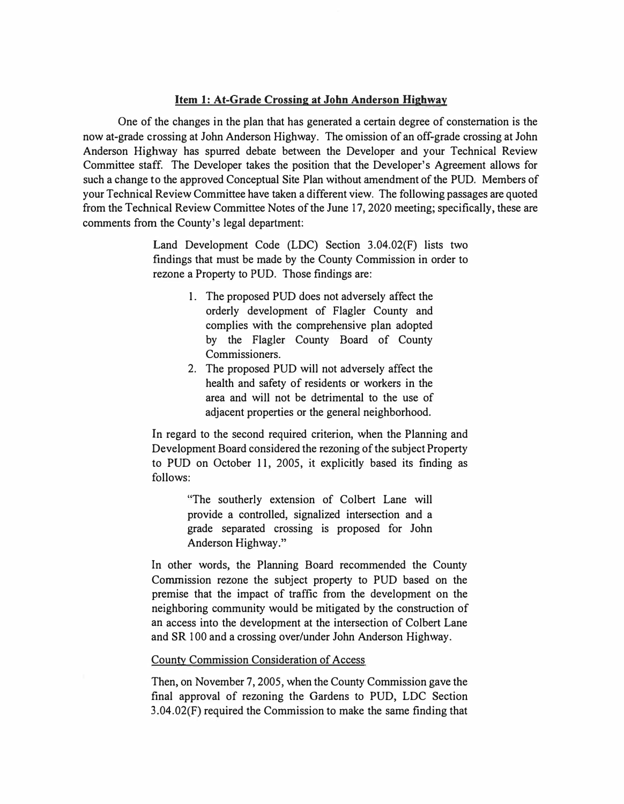#### **Item 1: At-Grade Crossing at John Anderson Highway**

One of the changes in the plan that has generated a certain degree of consternation is the now at-grade crossing at John Anderson Highway. The omission of an off-grade crossing at John Anderson Highway has spurred debate between the Developer and your Technical Review Committee staff. The Developer takes the position that the Developer's Agreement allows for such a change to the approved Conceptual Site Plan without amendment of the PUD. Members of your Technical Review Committee have taken a different view. The following passages are quoted from the Technical Review Committee Notes of the June 17, 2020 meeting; specifically, these are comments from the County's legal department:

> Land Development Code (LDC) Section 3.04.02(F) lists two findings that must be made by the County Commission in order to rezone a Property to PUD. Those findings are:

- 1. The proposed PUD does not adversely affect the orderly development of Flagler County and complies with the comprehensive plan adopted by the Flagler County Board of County Commissioners.
- 2. The proposed PUD will not adversely affect the health and safety of residents or workers in the area and will not be detrimental to the use of adjacent properties or the general neighborhood.

In regard to the second required criterion, when the Planning and Development Board considered the rezoning of the subject Property to PUD on October 11, 2005, it explicitly based its finding as follows:

> "The southerly extension of Colbert Lane will provide a controlled, signalized intersection and a grade separated crossing is proposed for John Anderson Highway."

In other words, the Planning Board recommended the County Commission rezone the subject property to PUD based on the premise that the impact of traffic from the development on the neighboring community would be mitigated by the construction of an access into the development at the intersection of Colbert Lane and SR 100 and a crossing over/under John Anderson Highway.

#### County Commission Consideration of Access

Then, on November 7, 2005, when the County Commission gave the final approval of rezoning the Gardens to PUD, LDC Section 3.04.02(F) required the Commission to make the same finding that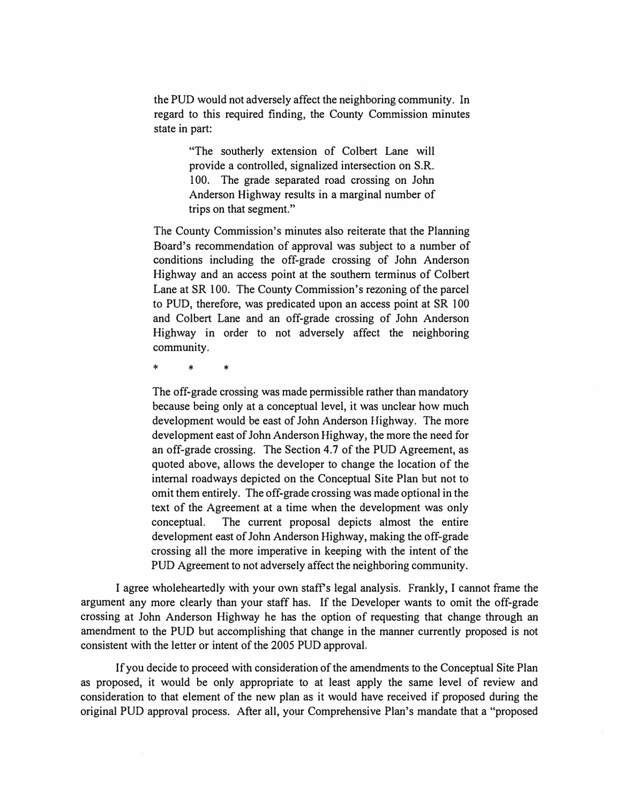the PUD would not adversely affect the neighboring community. In regard to this required finding, the County Commission minutes state in part:

> "The southerly extension of Colbert Lane will provide a controlled, signalized intersection on S.R. 100. The grade separated road crossing on John Anderson Highway results in a marginal number of trips on that segment."

The County Commission's minutes also reiterate that the Planning Board's recommendation of approval was subject to a number of conditions including the off-grade crossing of John Anderson Highway and an access point at the southern terminus of Colbert Lane at SR 100. The County Commission's rezoning of the parcel to PUD, therefore, was predicated upon an access point at SR 100 and Colbert Lane and an off-grade crossing of John Anderson Highway in order to not adversely affect the neighboring community.

\* \* \*

The off-grade crossing was made permissible rather than mandatory because being only at a conceptual level, it was unclear how much development would be east of John Anderson Highway. The more development east of John Anderson Highway, the more the need for an off-grade crossing. The Section 4.7 of the PUD Agreement, as quoted above, allows the developer to change the location of the internal roadways depicted on the Conceptual Site Plan but not to omit them entirely. The off-grade crossing was made optional in the text of the Agreement at a time when the development was only conceptual. The current proposal depicts almost the entire development east of John Anderson Highway, making the off-grade crossing all the more imperative in keeping with the intent of the PUD Agreement to not adversely affect the neighboring community.

I agree wholeheartedly with your own staffs legal analysis. Frankly, I cannot frame the argument any more clearly than your staff has. If the Developer wants to omit the off-grade crossing at John Anderson Highway he has the option of requesting that change through an amendment to the PUD but accomplishing that change in the manner currently proposed is not consistent with the letter or intent of the 2005 PUD approval.

If you decide to proceed with consideration of the amendments to the Conceptual Site Plan as proposed, it would be only appropriate to at least apply the same level of review and consideration to that element of the new plan as it would have received if proposed during the original PUD approval process. After all, your Comprehensive Plan's mandate that a "proposed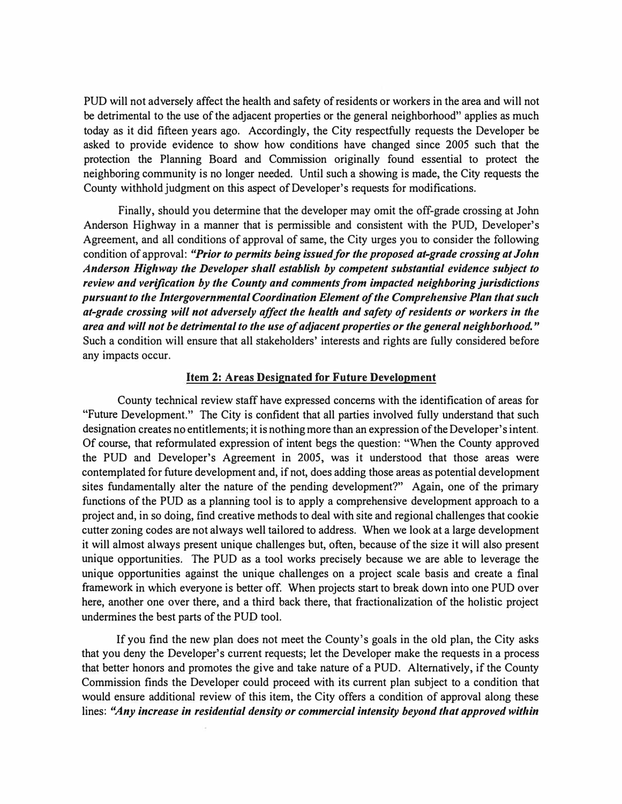PUD will not adversely affect the health and safety of residents or workers in the area and will not be detrimental to the use of the adjacent properties or the general neighborhood" applies as much today as it did fifteen years ago. Accordingly, the City respectfully requests the Developer be asked to provide evidence to show how conditions have changed since 2005 such that the protection the Planning Board and Commission originally found essential to protect the neighboring community is no longer needed. Until such a showing is made, the City requests the County withhold judgment on this aspect of Developer's requests for modifications.

Finally, should you determine that the developer may omit the off-grade crossing at John Anderson Highway in a manner that is permissible and consistent with the PUD, Developer's Agreement, and all conditions of approval of same, the City urges you to consider the following condition of approval: *"Prior to permits being issued/or the proposed at-grade crossing at John*  Anderson Highway the Developer shall establish by competent substantial evidence subject to *review and verification by the County and comments from impacted neighboring jurisdictions pursuant to the Intergovernmental Coordination Element of the Comprehensive Plan that such at-grade crossing will not adversely affect the health and safety of residents or workers in tlie area and will not be detrimental to the use of adjacent properties or the general neighborhood."*  Such a condition will ensure that all stakeholders' interests and rights are fully considered before any impacts occur.

### **Item 2: Areas Designated for Future Development**

County technical review staff have expressed concerns with the identification of areas for "Future Development." The City is confident that all parties involved fully understand that such designation creates no entitlements; it is nothing more than an expression of the Developer's intent. Of course, that reformulated expression of intent begs the question: "When the County approved the PUD and Developer's Agreement in 2005, was it understood that those areas were contemplated for future development and, if not, does adding those areas as potential development sites fundamentally alter the nature of the pending development?" Again, one of the primary functions of the PUD as a planning tool is to apply a comprehensive development approach to a project and, in so doing, find creative methods to deal with site and regional challenges that cookie cutter zoning codes are not always well tailored to address. When we look at a large development it will almost always present unique challenges but, often, because of the size it will also present unique opportunities. The PUD as a tool works precisely because we are able to leverage the unique opportunities against the unique challenges on a project scale basis and create a final framework in which everyone is better off. When projects start to break down into one PUD over here, another one over there, and a third back there, that fractionalization of the holistic project undermines the best parts of the PUD tool.

If you find the new plan does not meet the County's goals in the old plan, the City asks that you deny the Developer's current requests; let the Developer make the requests in a process that better honors and promotes the give and take nature of a PUD. Alternatively, if the County Commission finds the Developer could proceed with its current plan subject to a condition that would ensure additional review of this item, the City offers a condition of approval along these lines: *"Any increase in residential density or commercial intensity beyond that approved within*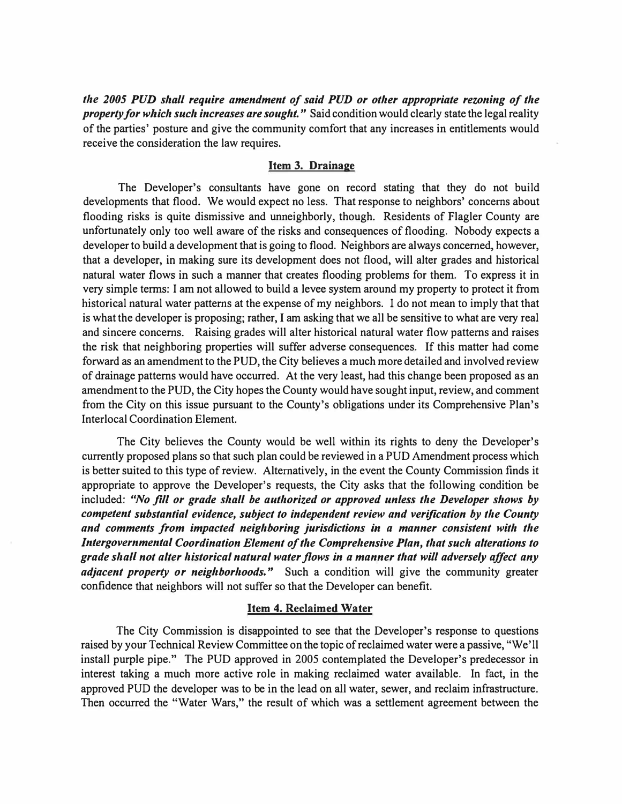*the 2005 PUD shall require amendment of said PUD or other appropriate rezoning of the property for which such increases are sought."* Said condition would clearly state the legal reality of the parties' posture and give the community comfort that any increases in entitlements would receive the consideration the law requires.

#### **Item 3. Drainage**

The Developer's consultants have gone on record stating that they do not build developments that flood. We would expect no less. That response to neighbors' concerns about flooding risks is quite dismissive and unneighborly, though. Residents of Flagler County are unfortunately only too well aware of the risks and consequences of flooding. Nobody expects a developer to build a development that is going to flood. Neighbors are always concerned, however, that a developer, in making sure its development does not flood, will alter grades and historical natural water flows in such a manner that creates flooding problems for them. To express it in very simple terms: I am not allowed to build a levee system around my property to protect it from historical natural water patterns at the expense of my neighbors. I do not mean to imply that that is what the developer is proposing; rather, I am asking that we all be sensitive to what are very real and sincere concerns. Raising grades will alter historical natural water flow patterns and raises the risk that neighboring properties will suffer adverse consequences. If this matter had come forward as an amendment to the PUD, the City believes a much more detailed and involved review of drainage patterns would have occurred. At the very least, had this change been proposed as an amendment to the PUD, the City hopes the County would have sought input, review, and comment from the City on this issue pursuant to the County's obligations under its Comprehensive Plan's Interlocal Coordination Element.

The City believes the County would be well within its rights to deny the Developer's currently proposed plans so that such plan could be reviewed in a PUD Amendment process which is better suited to this type of review. Alternatively, in the event the County Commission finds it appropriate to approve the Developer's requests, the City asks that the following condition be included: *"No fill or grade shall be authorized or approved unless the Developer shows by competent substantial evidence, subject to independent review and verification by tlte County and comments from impacted neighboring jurisdictions in a manner consistent wit/, tlte Intergovernmental Coordination Element of tl,e Compre/zensive Plan, t/zat sue/, alterations to grade shall not alter historical natural water flows in a manner that will adversely affect any adjacent property or neighborhoods.*" Such a condition will give the community greater confidence that neighbors will not suffer so that the Developer can benefit.

#### **Item 4. Reclaimed Water**

The City Commission is disappointed to see that the Developer's response to questions raised by your Technical Review Committee on the topic of reclaimed water were a passive, "We'll install purple pipe." The PUD approved in 2005 contemplated the Developer's predecessor in interest taking a much more active role in making reclaimed water available. In fact, in the approved PUD the developer was to be in the lead on all water, sewer, and reclaim infrastructure. Then occurred the "Water Wars," the result of which was a settlement agreement between the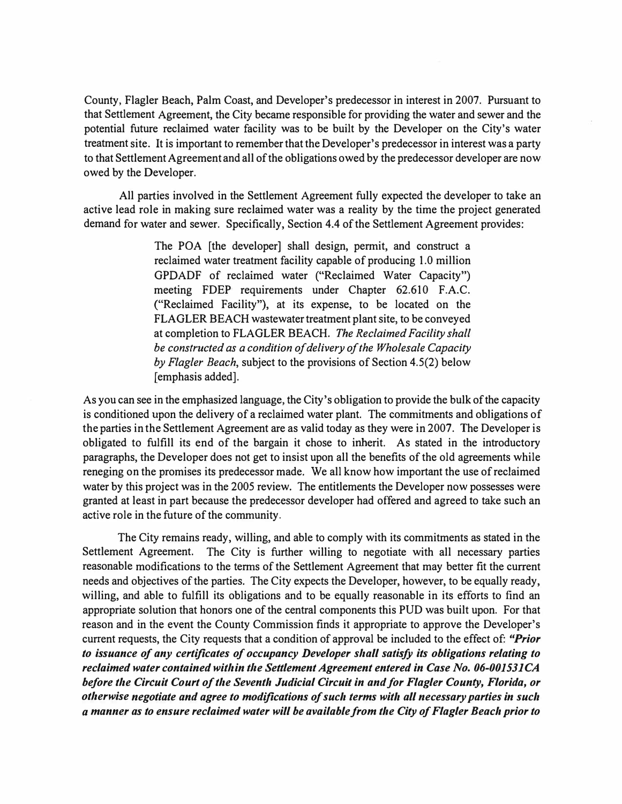County, Flagler Beach, Palm Coast, and Developer's predecessor in interest in 2007. Pursuant to that Settlement Agreement, the City became responsible for providing the water and sewer and the potential future reclaimed water facility was to be built by the Developer on the City's water treatment site. It is important to remember that the Developer's predecessor in interest was a party to that Settlement Agreement and all of the obligations owed by the predecessor developer are now owed by the Developer.

All parties involved in the Settlement Agreement fully expected the developer to take an active lead role in making sure reclaimed water was a reality by the time the project generated demand for water and sewer. Specifically, Section 4.4 of the Settlement Agreement provides:

> The POA [the developer] shall design, permit, and construct a reclaimed water treatment facility capable of producing 1.0 million GPDADF of reclaimed water ("Reclaimed Water Capacity") meeting FDEP requirements under Chapter 62.610 F.A.C. ("Reclaimed Facility"), at its expense, to be located on the FLAGLER BEACH wastewater treatment plant site, to be conveyed at completion to FLAGLER BEACH. *The Reclaimed Facility shall be constructed as a condition of delivery of the Wholesale Capacity by Flagler Beach,* subject to the provisions of Section 4.5(2) below [emphasis added].

As you can see in the emphasized language, the City's obligation to provide the bulk of the capacity is conditioned upon the delivery of a reclaimed water plant. The commitments and obligations of the parties in the Settlement Agreement are as valid today as they were in 2007. The Developer is obligated to fulfill its end of the bargain it chose to inherit. As stated in the introductory paragraphs, the Developer does not get to insist upon all the benefits of the old agreements while reneging on the promises its predecessor made. We all know how important the use of reclaimed water by this project was in the 2005 review. The entitlements the Developer now possesses were granted at least in part because the predecessor developer had offered and agreed to take such an active role in the future of the community.

The City remains ready, willing, and able to comply with its commitments as stated in the Settlement Agreement. The City is further willing to negotiate with all necessary parties reasonable modifications to the terms of the Settlement Agreement that may better fit the current needs and objectives of the parties. The City expects the Developer, however, to be equally ready, willing, and able to fulfill its obligations and to be equally reasonable in its efforts to find an appropriate solution that honors one of the central components this PUD was built upon. For that reason and in the event the County Commission finds it appropriate to approve the Developer's current requests, the City requests that a condition of approval be included to the effect of: *"Prior to issuance of any certificates of occupancy Developer shall satisfy its obligations relating to* reclaimed water contained within the Settlement Agreement entered in Case No. 06-001531CA *before the Circuit Court of the Seventh Judicial Circuit in and for Flagler County, Florida, or otherwise negotiate and agree to modifications of such terms with all necessary parties in such a manner as to ensure reclaimed water will be available from the City of Flagler Beach prior to*